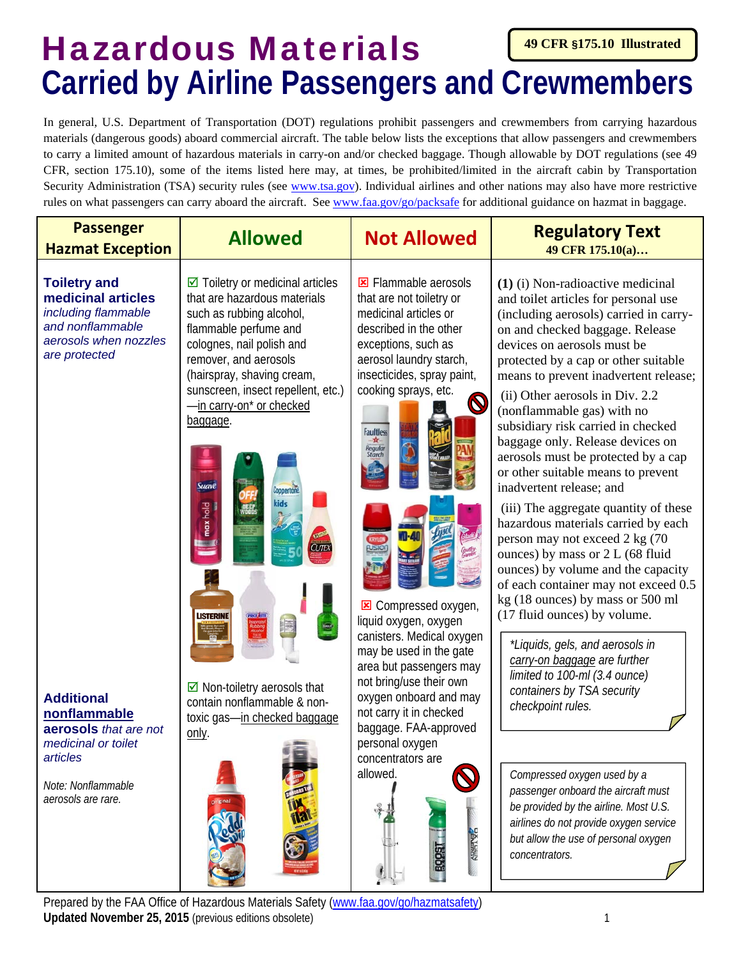## Hazardous Materials **49 CFR §175.10 Illustrated Carried by Airline Passengers and Crewmembers**

In general, U.S. Department of Transportation (DOT) regulations prohibit passengers and crewmembers from carrying hazardous materials (dangerous goods) aboard commercial aircraft. The table below lists the exceptions that allow passengers and crewmembers to carry a limited amount of hazardous materials in carry-on and/or checked baggage. Though allowable by DOT regulations (see 49 CFR, section 175.10), some of the items listed here may, at times, be prohibited/limited in the aircraft cabin by Transportation Security Administration (TSA) security rules (see www.tsa.gov). Individual airlines and other nations may also have more restrictive rules on what passengers can carry aboard the aircraft. See www.faa.gov/go/packsafe for additional guidance on hazmat in baggage.

| <b>Passenger</b>                                                                                                                                                                                                                                                            |                                                                                                                                                                                                                                                                                                                                                                                                                                                                                                                                                                                                 |                                                                                                                                                                                                                                                                                                                                                                                                                                                                                                                                                                                                      | <b>Regulatory Text</b>                                                                                                                                                                                                                                                                                                                                                                                                                                                                                                                                                                                                                                                                                                                                                                                                                                                                                                                                                                                                                                                                                                                                                                                       |
|-----------------------------------------------------------------------------------------------------------------------------------------------------------------------------------------------------------------------------------------------------------------------------|-------------------------------------------------------------------------------------------------------------------------------------------------------------------------------------------------------------------------------------------------------------------------------------------------------------------------------------------------------------------------------------------------------------------------------------------------------------------------------------------------------------------------------------------------------------------------------------------------|------------------------------------------------------------------------------------------------------------------------------------------------------------------------------------------------------------------------------------------------------------------------------------------------------------------------------------------------------------------------------------------------------------------------------------------------------------------------------------------------------------------------------------------------------------------------------------------------------|--------------------------------------------------------------------------------------------------------------------------------------------------------------------------------------------------------------------------------------------------------------------------------------------------------------------------------------------------------------------------------------------------------------------------------------------------------------------------------------------------------------------------------------------------------------------------------------------------------------------------------------------------------------------------------------------------------------------------------------------------------------------------------------------------------------------------------------------------------------------------------------------------------------------------------------------------------------------------------------------------------------------------------------------------------------------------------------------------------------------------------------------------------------------------------------------------------------|
| <b>Hazmat Exception</b>                                                                                                                                                                                                                                                     | <b>Allowed</b>                                                                                                                                                                                                                                                                                                                                                                                                                                                                                                                                                                                  | <b>Not Allowed</b>                                                                                                                                                                                                                                                                                                                                                                                                                                                                                                                                                                                   | 49 CFR 175.10(a)                                                                                                                                                                                                                                                                                                                                                                                                                                                                                                                                                                                                                                                                                                                                                                                                                                                                                                                                                                                                                                                                                                                                                                                             |
| <b>Toiletry and</b><br>medicinal articles<br>including flammable<br>and nonflammable<br>aerosols when nozzles<br>are protected<br><b>Additional</b><br>nonflammable<br>aerosols that are not<br>medicinal or toilet<br>articles<br>Note: Nonflammable<br>aerosols are rare. | $\boxdot$ Toiletry or medicinal articles<br>that are hazardous materials<br>such as rubbing alcohol,<br>flammable perfume and<br>colognes, nail polish and<br>remover, and aerosols<br>(hairspray, shaving cream,<br>sunscreen, insect repellent, etc.)<br>-in carry-on* or checked<br>baggage.<br>Suave<br><b>Coppertone</b><br>kids<br>max hold<br><b>CUTEX</b><br><b>LISTERINE</b><br>$\boxdot$ Non-toiletry aerosols that<br>contain nonflammable & non-<br>toxic gas-in checked baggage<br>only.<br>Prenared by the FAA Office of Hazardous Materials Safety (www.faa.gov/go/bazmatsafety) | Elammable aerosols<br>that are not toiletry or<br>medicinal articles or<br>described in the other<br>exceptions, such as<br>aerosol laundry starch,<br>insecticides, spray paint,<br>cooking sprays, etc.<br>$\bigcirc$<br><b>Faultless</b><br>$-\pi$<br>Regular<br>Starch<br><b>E</b> Compressed oxygen,<br>liquid oxygen, oxygen<br>canisters. Medical oxygen<br>may be used in the gate<br>area but passengers may<br>not bring/use their own<br>oxygen onboard and may<br>not carry it in checked<br>baggage. FAA-approved<br>personal oxygen<br>concentrators are<br>allowed.<br><b>ZENERSY</b> | (1) (i) Non-radioactive medicinal<br>and toilet articles for personal use<br>(including aerosols) carried in carry-<br>on and checked baggage. Release<br>devices on aerosols must be<br>protected by a cap or other suitable<br>means to prevent inadvertent release;<br>(ii) Other aerosols in Div. 2.2<br>(nonflammable gas) with no<br>subsidiary risk carried in checked<br>baggage only. Release devices on<br>aerosols must be protected by a cap<br>or other suitable means to prevent<br>inadvertent release; and<br>(iii) The aggregate quantity of these<br>hazardous materials carried by each<br>person may not exceed 2 kg (70<br>ounces) by mass or 2 L (68 fluid<br>ounces) by volume and the capacity<br>of each container may not exceed 0.5<br>kg (18 ounces) by mass or 500 ml<br>(17 fluid ounces) by volume.<br>*Liquids, gels, and aerosols in<br>carry-on baggage are further<br>limited to 100-ml (3.4 ounce)<br>containers by TSA security<br>checkpoint rules.<br>Compressed oxygen used by a<br>passenger onboard the aircraft must<br>be provided by the airline. Most U.S.<br>airlines do not provide oxygen service<br>but allow the use of personal oxygen<br>concentrators. |

**Updated November 25, 2015** (previous editions obsolete) 1 1 pared by the FAA Office of Hazardous Materials Safety (www.faa.gov/go/hazmatsaf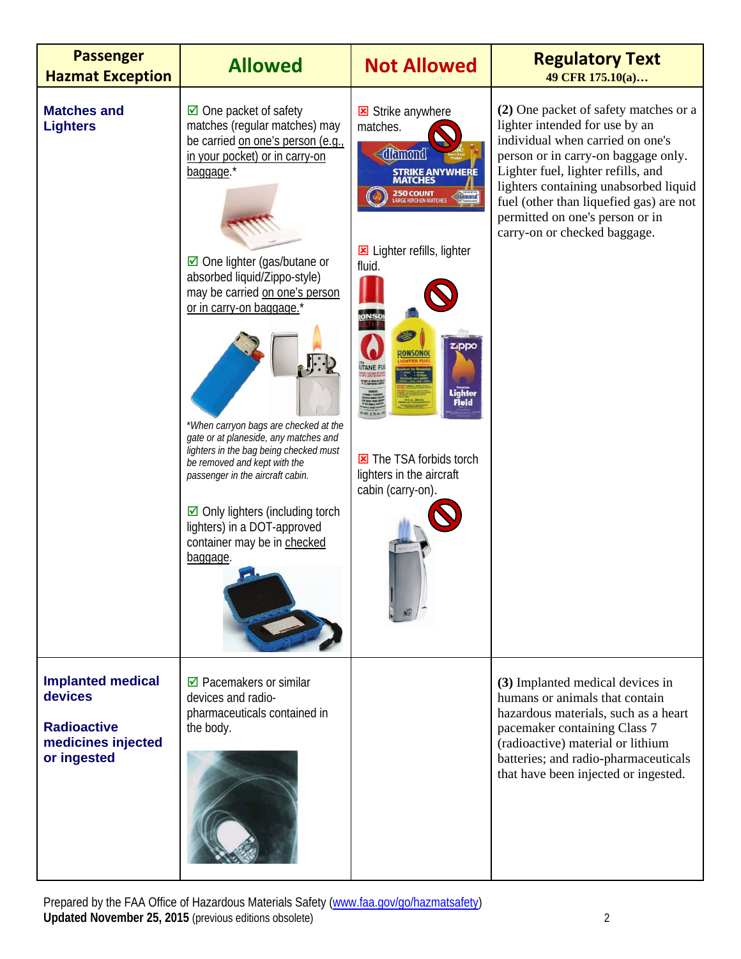| <b>Passenger</b><br><b>Hazmat Exception</b>                                                    | <b>Allowed</b>                                                                                                                                                                                                                                                                                                                                                                                                                                                                                                                                                                                             | <b>Not Allowed</b>                                                                                                                                                                                                                                                         | <b>Regulatory Text</b><br>49 CFR 175.10(a)                                                                                                                                                                                                                                                                                                      |
|------------------------------------------------------------------------------------------------|------------------------------------------------------------------------------------------------------------------------------------------------------------------------------------------------------------------------------------------------------------------------------------------------------------------------------------------------------------------------------------------------------------------------------------------------------------------------------------------------------------------------------------------------------------------------------------------------------------|----------------------------------------------------------------------------------------------------------------------------------------------------------------------------------------------------------------------------------------------------------------------------|-------------------------------------------------------------------------------------------------------------------------------------------------------------------------------------------------------------------------------------------------------------------------------------------------------------------------------------------------|
| <b>Matches and</b><br><b>Lighters</b>                                                          | $\boxtimes$ One packet of safety<br>matches (regular matches) may<br>be carried on one's person (e.g.,<br>in your pocket) or in carry-on<br>baggage.*<br>☑ One lighter (gas/butane or<br>absorbed liquid/Zippo-style)<br>may be carried on one's person<br>or in carry-on baggage.'<br>* When carryon bags are checked at the<br>gate or at planeside, any matches and<br>lighters in the bag being checked must<br>be removed and kept with the<br>passenger in the aircraft cabin.<br>$\boxdot$ Only lighters (including torch<br>lighters) in a DOT-approved<br>container may be in checked<br>baggage. | Strike anywhere<br>matches.<br>diamond<br>STRIKE ANYWHERE<br>MATCHES<br><b>250 COUNT</b><br>LARGE KITCHEN MATCHES<br>diamond<br>E Lighter refills, lighter<br>fluid.<br>Zppo<br>Lighter<br>Fluid<br>The TSA forbids torch<br>lighters in the aircraft<br>cabin (carry-on). | (2) One packet of safety matches or a<br>lighter intended for use by an<br>individual when carried on one's<br>person or in carry-on baggage only.<br>Lighter fuel, lighter refills, and<br>lighters containing unabsorbed liquid<br>fuel (other than liquefied gas) are not<br>permitted on one's person or in<br>carry-on or checked baggage. |
| <b>Implanted medical</b><br>devices<br><b>Radioactive</b><br>medicines injected<br>or ingested | $\boxtimes$ Pacemakers or similar<br>devices and radio-<br>pharmaceuticals contained in<br>the body.                                                                                                                                                                                                                                                                                                                                                                                                                                                                                                       |                                                                                                                                                                                                                                                                            | (3) Implanted medical devices in<br>humans or animals that contain<br>hazardous materials, such as a heart<br>pacemaker containing Class 7<br>(radioactive) material or lithium<br>batteries; and radio-pharmaceuticals<br>that have been injected or ingested.                                                                                 |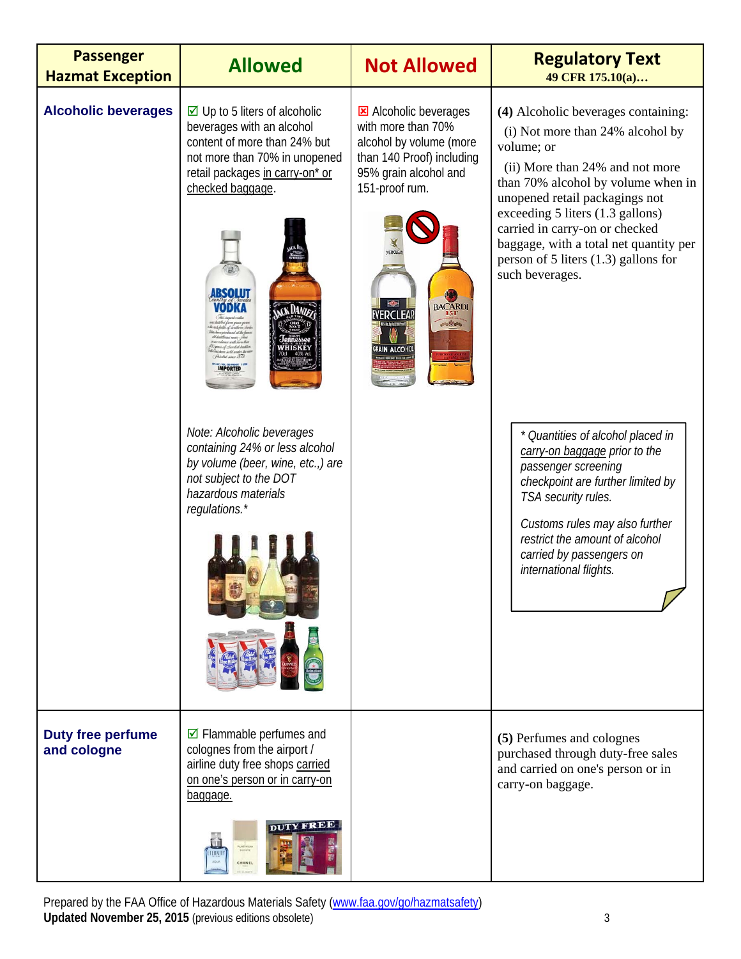| <b>Passenger</b><br><b>Hazmat Exception</b> | <b>Allowed</b>                                                                                                                                                                                                                                                                                                                                                                                                                                                                            | <b>Not Allowed</b>                                                                                                                                                                                                                          | <b>Regulatory Text</b><br>49 CFR 175.10(a)                                                                                                                                                                                                                                                                                                                                                                                                                                                                                                                                                                                                                       |
|---------------------------------------------|-------------------------------------------------------------------------------------------------------------------------------------------------------------------------------------------------------------------------------------------------------------------------------------------------------------------------------------------------------------------------------------------------------------------------------------------------------------------------------------------|---------------------------------------------------------------------------------------------------------------------------------------------------------------------------------------------------------------------------------------------|------------------------------------------------------------------------------------------------------------------------------------------------------------------------------------------------------------------------------------------------------------------------------------------------------------------------------------------------------------------------------------------------------------------------------------------------------------------------------------------------------------------------------------------------------------------------------------------------------------------------------------------------------------------|
| <b>Alcoholic beverages</b>                  | $\boxtimes$ Up to 5 liters of alcoholic<br>beverages with an alcohol<br>content of more than 24% but<br>not more than 70% in unopened<br>retail packages in carry-on* or<br>checked baggage.<br><b>BSOLUT</b><br>ODKA<br>nd at the bo<br>Chendish Dadit<br>bet sander the r<br>Asiclat since 1879<br><b>APORTED</b><br>Note: Alcoholic beverages<br>containing 24% or less alcohol<br>by volume (beer, wine, etc.,) are<br>not subject to the DOT<br>hazardous materials<br>regulations.* | <b>E</b> Alcoholic beverages<br>with more than 70%<br>alcohol by volume (more<br>than 140 Proof) including<br>95% grain alcohol and<br>151-proof rum.<br><b>EVERCLEA</b><br>BACARDI<br><b><i>ERCLEAR</i></b><br><b>Bitten</b><br>AIN ALCOHO | (4) Alcoholic beverages containing:<br>(i) Not more than 24% alcohol by<br>volume; or<br>(ii) More than 24% and not more<br>than 70% alcohol by volume when in<br>unopened retail packagings not<br>exceeding 5 liters (1.3 gallons)<br>carried in carry-on or checked<br>baggage, with a total net quantity per<br>person of 5 liters $(1.3)$ gallons for<br>such beverages.<br>* Quantities of alcohol placed in<br>carry-on baggage prior to the<br>passenger screening<br>checkpoint are further limited by<br>TSA security rules.<br>Customs rules may also further<br>restrict the amount of alcohol<br>carried by passengers on<br>international flights. |
| <b>Duty free perfume</b><br>and cologne     | $\boxdot$ Flammable perfumes and<br>colognes from the airport /<br>airline duty free shops carried<br>on one's person or in carry-on<br>baggage.<br><b>DUTY FREE</b>                                                                                                                                                                                                                                                                                                                      |                                                                                                                                                                                                                                             | (5) Perfumes and colognes<br>purchased through duty-free sales<br>and carried on one's person or in<br>carry-on baggage.                                                                                                                                                                                                                                                                                                                                                                                                                                                                                                                                         |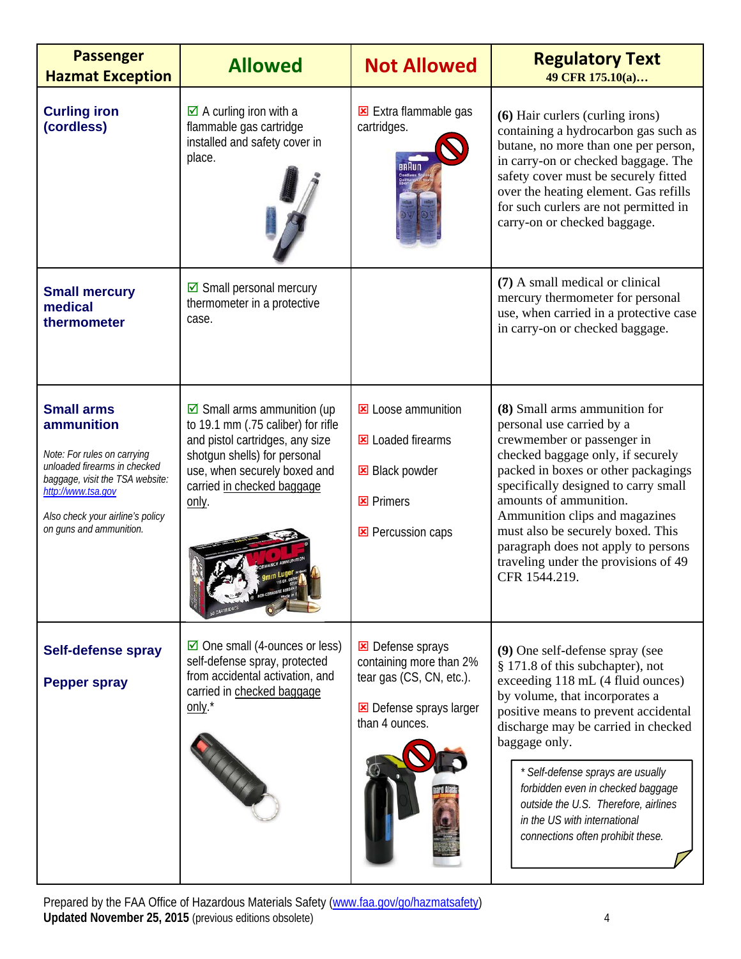| <b>Passenger</b><br><b>Hazmat Exception</b>                                                                                                                                                                            | <b>Allowed</b>                                                                                                                                                                                                      | <b>Not Allowed</b>                                                                                                        | <b>Regulatory Text</b><br>49 CFR 175.10(a)                                                                                                                                                                                                                                                                                                                                                                                        |
|------------------------------------------------------------------------------------------------------------------------------------------------------------------------------------------------------------------------|---------------------------------------------------------------------------------------------------------------------------------------------------------------------------------------------------------------------|---------------------------------------------------------------------------------------------------------------------------|-----------------------------------------------------------------------------------------------------------------------------------------------------------------------------------------------------------------------------------------------------------------------------------------------------------------------------------------------------------------------------------------------------------------------------------|
| <b>Curling iron</b><br>(cordless)                                                                                                                                                                                      | $\boxtimes$ A curling iron with a<br>flammable gas cartridge<br>installed and safety cover in<br>place.                                                                                                             | Extra flammable gas<br>cartridges.                                                                                        | (6) Hair curlers (curling irons)<br>containing a hydrocarbon gas such as<br>butane, no more than one per person,<br>in carry-on or checked baggage. The<br>safety cover must be securely fitted<br>over the heating element. Gas refills<br>for such curlers are not permitted in<br>carry-on or checked baggage.                                                                                                                 |
| <b>Small mercury</b><br>medical<br>thermometer                                                                                                                                                                         | $\boxdot$ Small personal mercury<br>thermometer in a protective<br>case.                                                                                                                                            |                                                                                                                           | (7) A small medical or clinical<br>mercury thermometer for personal<br>use, when carried in a protective case<br>in carry-on or checked baggage.                                                                                                                                                                                                                                                                                  |
| <b>Small arms</b><br>ammunition<br>Note: For rules on carrying<br>unloaded firearms in checked<br>baggage, visit the TSA website:<br>http://www.tsa.gov<br>Also check your airline's policy<br>on guns and ammunition. | $\boxdot$ Small arms ammunition (up<br>to 19.1 mm (.75 caliber) for rifle<br>and pistol cartridges, any size<br>shotgun shells) for personal<br>use, when securely boxed and<br>carried in checked baggage<br>only. | <b>E</b> Loose ammunition<br><b>E</b> Loaded firearms<br><b>E</b> Black powder<br><b>E</b> Primers<br>Percussion caps     | (8) Small arms ammunition for<br>personal use carried by a<br>crewmember or passenger in<br>checked baggage only, if securely<br>packed in boxes or other packagings<br>specifically designed to carry small<br>amounts of ammunition.<br>Ammunition clips and magazines<br>must also be securely boxed. This<br>paragraph does not apply to persons<br>traveling under the provisions of 49<br>CFR 1544.219.                     |
| <b>Self-defense spray</b><br><b>Pepper spray</b>                                                                                                                                                                       | $\boxtimes$ One small (4-ounces or less)<br>self-defense spray, protected<br>from accidental activation, and<br>carried in checked baggage<br>only. <sup>*</sup>                                                    | <b>E</b> Defense sprays<br>containing more than 2%<br>tear gas (CS, CN, etc.).<br>Defense sprays larger<br>than 4 ounces. | (9) One self-defense spray (see<br>§ 171.8 of this subchapter), not<br>exceeding 118 mL (4 fluid ounces)<br>by volume, that incorporates a<br>positive means to prevent accidental<br>discharge may be carried in checked<br>baggage only.<br>* Self-defense sprays are usually<br>forbidden even in checked baggage<br>outside the U.S. Therefore, airlines<br>in the US with international<br>connections often prohibit these. |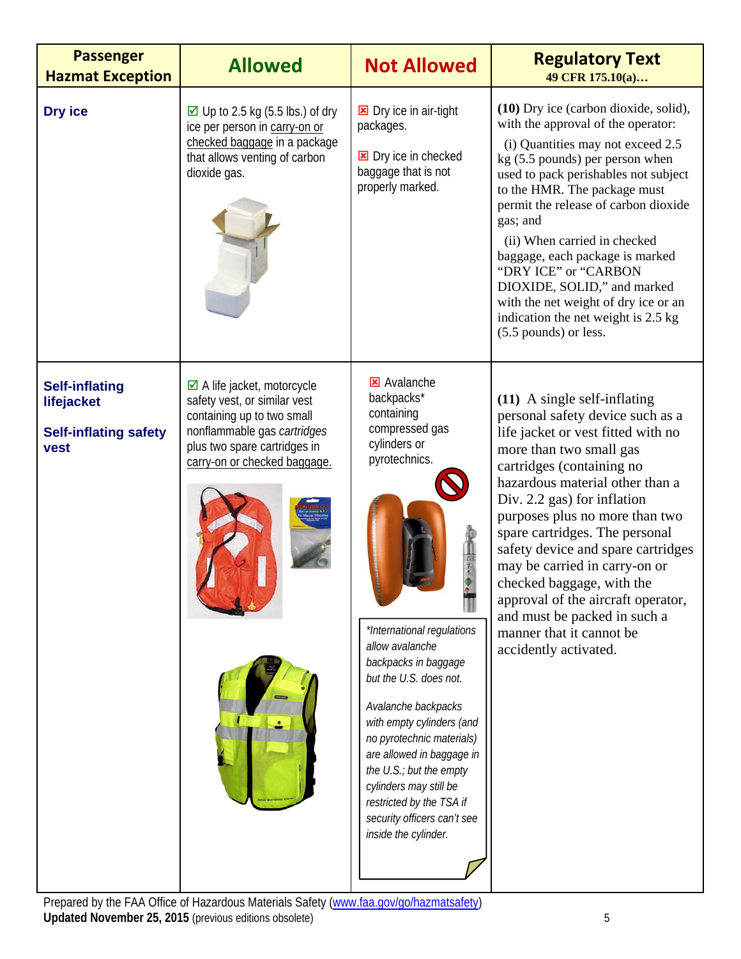| <b>Passenger</b><br><b>Hazmat Exception</b>                                 | <b>Allowed</b>                                                                                                                                                                                     | <b>Not Allowed</b>                                                                                                                                                                                                                                                                                                                                                                                                                                         | <b>Regulatory Text</b><br>49 CFR 175.10(a)                                                                                                                                                                                                                                                                                                                                                                                                                                                                                            |
|-----------------------------------------------------------------------------|----------------------------------------------------------------------------------------------------------------------------------------------------------------------------------------------------|------------------------------------------------------------------------------------------------------------------------------------------------------------------------------------------------------------------------------------------------------------------------------------------------------------------------------------------------------------------------------------------------------------------------------------------------------------|---------------------------------------------------------------------------------------------------------------------------------------------------------------------------------------------------------------------------------------------------------------------------------------------------------------------------------------------------------------------------------------------------------------------------------------------------------------------------------------------------------------------------------------|
| Dry ice                                                                     | $\boxtimes$ Up to 2.5 kg (5.5 lbs.) of dry<br>ice per person in carry-on or<br>checked baggage in a package<br>that allows venting of carbon<br>dioxide gas.                                       | <b>E</b> Dry ice in air-tight<br>packages.<br><b>E</b> Dry ice in checked<br>baggage that is not<br>properly marked.                                                                                                                                                                                                                                                                                                                                       | (10) Dry ice (carbon dioxide, solid),<br>with the approval of the operator:<br>(i) Quantities may not exceed 2.5<br>kg (5.5 pounds) per person when<br>used to pack perishables not subject<br>to the HMR. The package must<br>permit the release of carbon dioxide<br>gas; and<br>(ii) When carried in checked<br>baggage, each package is marked<br>"DRY ICE" or "CARBON<br>DIOXIDE, SOLID," and marked<br>with the net weight of dry ice or an<br>indication the net weight is 2.5 kg<br>(5.5 pounds) or less.                     |
| <b>Self-inflating</b><br>lifejacket<br><b>Self-inflating safety</b><br>vest | $\boxtimes$ A life jacket, motorcycle<br>safety vest, or similar vest<br>containing up to two small<br>nonflammable gas cartridges<br>plus two spare cartridges in<br>carry-on or checked baggage. | <b>E</b> Avalanche<br>backpacks*<br>containing<br>compressed gas<br>cylinders or<br>pyrotechnics.<br>*International regulations<br>allow avalanche<br>backpacks in baggage<br>but the U.S. does not.<br>Avalanche backpacks<br>with empty cylinders (and<br>no pyrotechnic materials)<br>are allowed in baggage in<br>the U.S.; but the empty<br>cylinders may still be<br>restricted by the TSA if<br>security officers can't see<br>inside the cylinder. | $(11)$ A single self-inflating<br>personal safety device such as a<br>life jacket or vest fitted with no<br>more than two small gas<br>cartridges (containing no<br>hazardous material other than a<br>Div. 2.2 gas) for inflation<br>purposes plus no more than two<br>spare cartridges. The personal<br>safety device and spare cartridges<br>may be carried in carry-on or<br>checked baggage, with the<br>approval of the aircraft operator,<br>and must be packed in such a<br>manner that it cannot be<br>accidently activated. |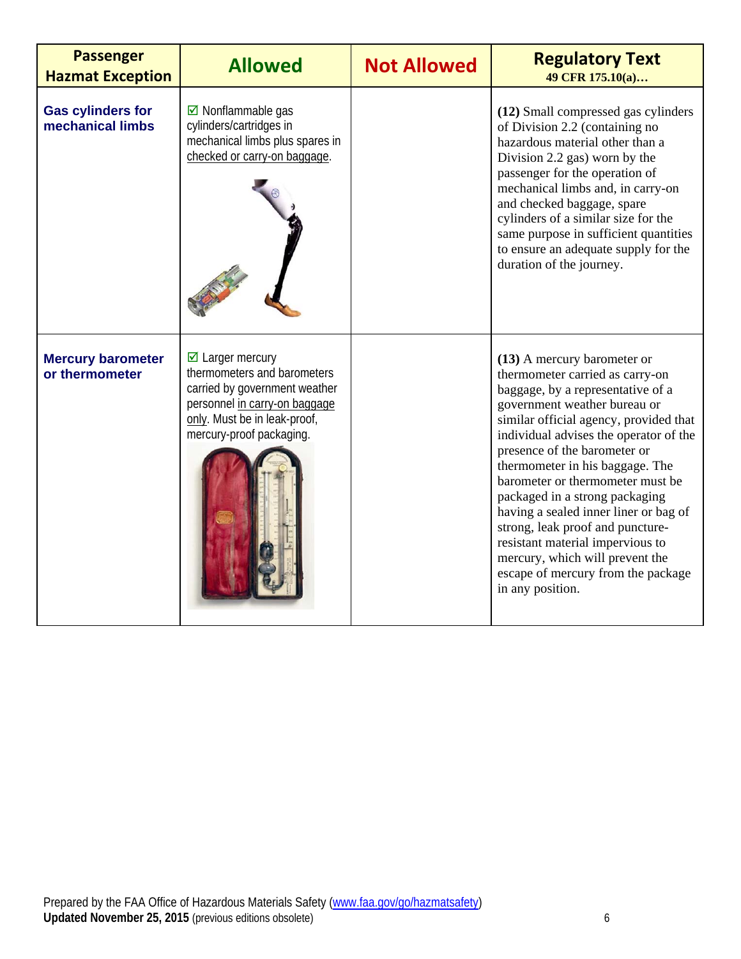| <b>Passenger</b><br><b>Hazmat Exception</b>  | <b>Allowed</b>                                                                                                                                                                        | <b>Not Allowed</b> | <b>Regulatory Text</b><br>49 CFR 175.10(a)                                                                                                                                                                                                                                                                                                                                                                                                                                                                                                                                     |
|----------------------------------------------|---------------------------------------------------------------------------------------------------------------------------------------------------------------------------------------|--------------------|--------------------------------------------------------------------------------------------------------------------------------------------------------------------------------------------------------------------------------------------------------------------------------------------------------------------------------------------------------------------------------------------------------------------------------------------------------------------------------------------------------------------------------------------------------------------------------|
| <b>Gas cylinders for</b><br>mechanical limbs | $\boxdot$ Nonflammable qas<br>cylinders/cartridges in<br>mechanical limbs plus spares in<br>checked or carry-on baggage.                                                              |                    | (12) Small compressed gas cylinders<br>of Division 2.2 (containing no<br>hazardous material other than a<br>Division 2.2 gas) worn by the<br>passenger for the operation of<br>mechanical limbs and, in carry-on<br>and checked baggage, spare<br>cylinders of a similar size for the<br>same purpose in sufficient quantities<br>to ensure an adequate supply for the<br>duration of the journey.                                                                                                                                                                             |
| <b>Mercury barometer</b><br>or thermometer   | $\boxdot$ Larger mercury<br>thermometers and barometers<br>carried by government weather<br>personnel in carry-on baggage<br>only. Must be in leak-proof,<br>mercury-proof packaging. |                    | (13) A mercury barometer or<br>thermometer carried as carry-on<br>baggage, by a representative of a<br>government weather bureau or<br>similar official agency, provided that<br>individual advises the operator of the<br>presence of the barometer or<br>thermometer in his baggage. The<br>barometer or thermometer must be<br>packaged in a strong packaging<br>having a sealed inner liner or bag of<br>strong, leak proof and puncture-<br>resistant material impervious to<br>mercury, which will prevent the<br>escape of mercury from the package<br>in any position. |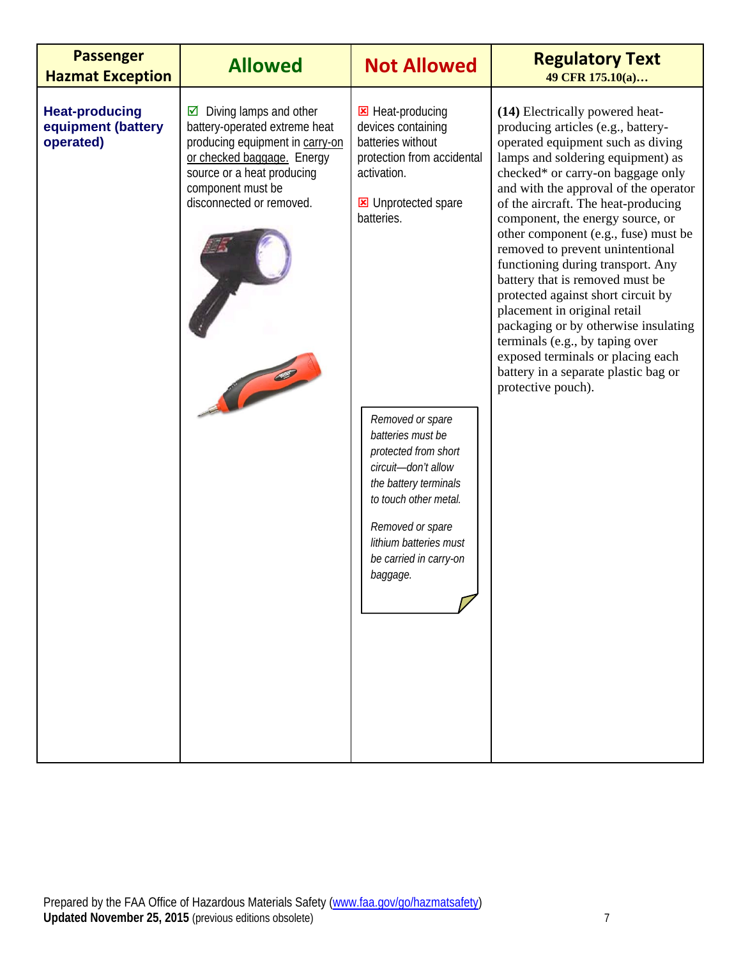| <b>Passenger</b><br><b>Hazmat Exception</b>              | <b>Allowed</b>                                                                                                                                                                                               | <b>Not Allowed</b>                                                                                                                                                                                                         | <b>Regulatory Text</b><br>49 CFR 175.10(a)                                                                                                                                                                                                                                                                                                                                                                                                                                                                                                                                                                                                                                                                       |
|----------------------------------------------------------|--------------------------------------------------------------------------------------------------------------------------------------------------------------------------------------------------------------|----------------------------------------------------------------------------------------------------------------------------------------------------------------------------------------------------------------------------|------------------------------------------------------------------------------------------------------------------------------------------------------------------------------------------------------------------------------------------------------------------------------------------------------------------------------------------------------------------------------------------------------------------------------------------------------------------------------------------------------------------------------------------------------------------------------------------------------------------------------------------------------------------------------------------------------------------|
| <b>Heat-producing</b><br>equipment (battery<br>operated) | Diving lamps and other<br>☑<br>battery-operated extreme heat<br>producing equipment in carry-on<br>or checked baggage. Energy<br>source or a heat producing<br>component must be<br>disconnected or removed. | B Heat-producing<br>devices containing<br>batteries without<br>protection from accidental<br>activation.<br><b>E</b> Unprotected spare<br>batteries.                                                                       | (14) Electrically powered heat-<br>producing articles (e.g., battery-<br>operated equipment such as diving<br>lamps and soldering equipment) as<br>checked* or carry-on baggage only<br>and with the approval of the operator<br>of the aircraft. The heat-producing<br>component, the energy source, or<br>other component (e.g., fuse) must be<br>removed to prevent unintentional<br>functioning during transport. Any<br>battery that is removed must be<br>protected against short circuit by<br>placement in original retail<br>packaging or by otherwise insulating<br>terminals (e.g., by taping over<br>exposed terminals or placing each<br>battery in a separate plastic bag or<br>protective pouch). |
|                                                          |                                                                                                                                                                                                              | Removed or spare<br>batteries must be<br>protected from short<br>circuit-don't allow<br>the battery terminals<br>to touch other metal.<br>Removed or spare<br>lithium batteries must<br>be carried in carry-on<br>baggage. |                                                                                                                                                                                                                                                                                                                                                                                                                                                                                                                                                                                                                                                                                                                  |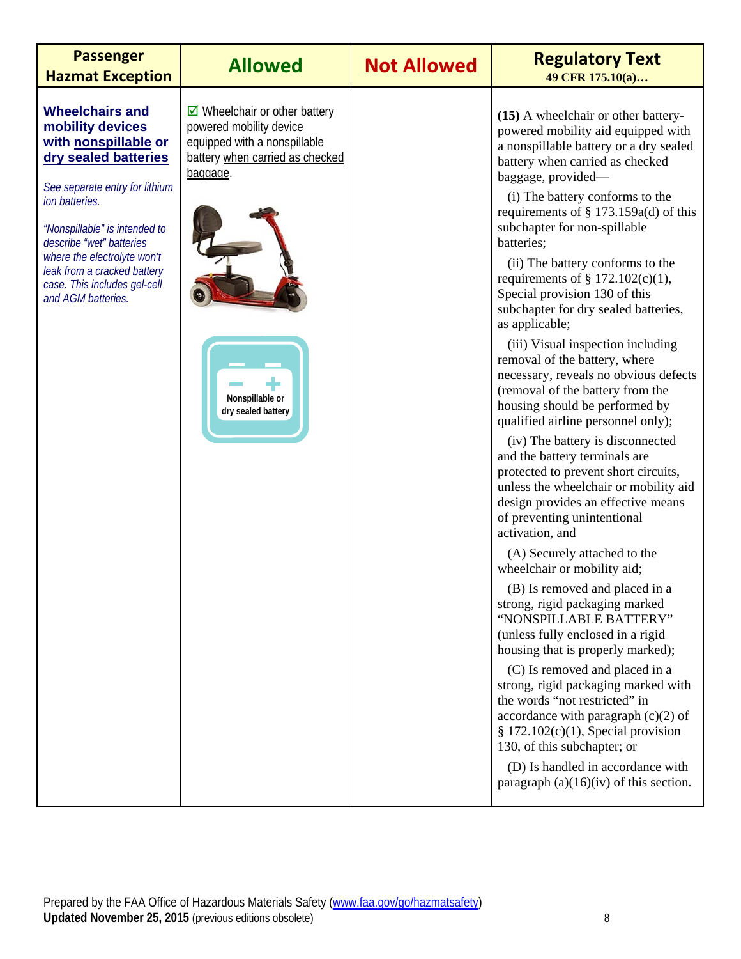| <b>Passenger</b><br><b>Hazmat Exception</b>                                                                                                                                                                                                                                                                                     | <b>Allowed</b>                                                                                                                                                                                  | <b>Not Allowed</b> | <b>Regulatory Text</b><br>49 CFR 175.10(a)                                                                                                                                                                                                                                                                                                                                                                                                                                                                                                                                                                                                                                                                                                                                                                                                                                                                                                                                                                                                                                                                                                                                                                                                                                                                                                                                                                                                                                                                  |
|---------------------------------------------------------------------------------------------------------------------------------------------------------------------------------------------------------------------------------------------------------------------------------------------------------------------------------|-------------------------------------------------------------------------------------------------------------------------------------------------------------------------------------------------|--------------------|-------------------------------------------------------------------------------------------------------------------------------------------------------------------------------------------------------------------------------------------------------------------------------------------------------------------------------------------------------------------------------------------------------------------------------------------------------------------------------------------------------------------------------------------------------------------------------------------------------------------------------------------------------------------------------------------------------------------------------------------------------------------------------------------------------------------------------------------------------------------------------------------------------------------------------------------------------------------------------------------------------------------------------------------------------------------------------------------------------------------------------------------------------------------------------------------------------------------------------------------------------------------------------------------------------------------------------------------------------------------------------------------------------------------------------------------------------------------------------------------------------------|
| <b>Wheelchairs and</b><br>mobility devices<br>with nonspillable or<br>dry sealed batteries<br>See separate entry for lithium<br>ion batteries.<br>"Nonspillable" is intended to<br>describe "wet" batteries<br>where the electrolyte won't<br>leak from a cracked battery<br>case. This includes gel-cell<br>and AGM batteries. | $\triangleright$ Wheelchair or other battery<br>powered mobility device<br>equipped with a nonspillable<br>battery when carried as checked<br>baggage.<br>Nonspillable or<br>dry sealed battery |                    | (15) A wheelchair or other battery-<br>powered mobility aid equipped with<br>a nonspillable battery or a dry sealed<br>battery when carried as checked<br>baggage, provided—<br>(i) The battery conforms to the<br>requirements of $\S 173.159a(d)$ of this<br>subchapter for non-spillable<br>batteries;<br>(ii) The battery conforms to the<br>requirements of $\S$ 172.102(c)(1),<br>Special provision 130 of this<br>subchapter for dry sealed batteries,<br>as applicable;<br>(iii) Visual inspection including<br>removal of the battery, where<br>necessary, reveals no obvious defects<br>(removal of the battery from the<br>housing should be performed by<br>qualified airline personnel only);<br>(iv) The battery is disconnected<br>and the battery terminals are<br>protected to prevent short circuits,<br>unless the wheelchair or mobility aid<br>design provides an effective means<br>of preventing unintentional<br>activation, and<br>(A) Securely attached to the<br>wheelchair or mobility aid;<br>(B) Is removed and placed in a<br>strong, rigid packaging marked<br>"NONSPILLABLE BATTERY"<br>(unless fully enclosed in a rigid<br>housing that is properly marked);<br>(C) Is removed and placed in a<br>strong, rigid packaging marked with<br>the words "not restricted" in<br>accordance with paragraph $(c)(2)$ of<br>$§ 172.102(c)(1)$ , Special provision<br>130, of this subchapter; or<br>(D) Is handled in accordance with<br>paragraph $(a)(16)(iv)$ of this section. |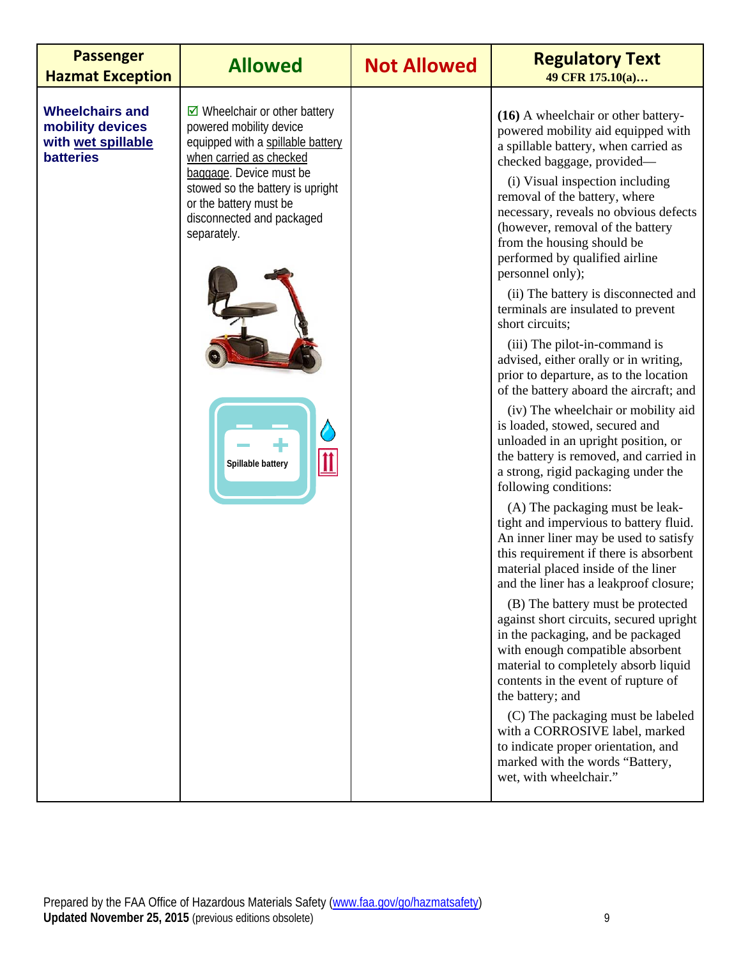| <b>Passenger</b><br><b>Hazmat Exception</b>                                          | <b>Allowed</b>                                                                                                                                                                                                                                                                                    | <b>Not Allowed</b> | <b>Regulatory Text</b><br>49 CFR 175.10(a)                                                                                                                                                                                                                                                                                                                                                                                                                                                                                                                                                                                                                                                                                                                                                                                                                                                                                                                                                                                                                                                                                                                                                                                                                                                                                                                                                                                                                                                                                                                             |
|--------------------------------------------------------------------------------------|---------------------------------------------------------------------------------------------------------------------------------------------------------------------------------------------------------------------------------------------------------------------------------------------------|--------------------|------------------------------------------------------------------------------------------------------------------------------------------------------------------------------------------------------------------------------------------------------------------------------------------------------------------------------------------------------------------------------------------------------------------------------------------------------------------------------------------------------------------------------------------------------------------------------------------------------------------------------------------------------------------------------------------------------------------------------------------------------------------------------------------------------------------------------------------------------------------------------------------------------------------------------------------------------------------------------------------------------------------------------------------------------------------------------------------------------------------------------------------------------------------------------------------------------------------------------------------------------------------------------------------------------------------------------------------------------------------------------------------------------------------------------------------------------------------------------------------------------------------------------------------------------------------------|
| <b>Wheelchairs and</b><br>mobility devices<br>with wet spillable<br><b>batteries</b> | $\boxdot$ Wheelchair or other battery<br>powered mobility device<br>equipped with a spillable battery<br>when carried as checked<br>baggage. Device must be<br>stowed so the battery is upright<br>or the battery must be<br>disconnected and packaged<br>separately.<br> 11<br>Spillable battery |                    | (16) A wheelchair or other battery-<br>powered mobility aid equipped with<br>a spillable battery, when carried as<br>checked baggage, provided-<br>(i) Visual inspection including<br>removal of the battery, where<br>necessary, reveals no obvious defects<br>(however, removal of the battery<br>from the housing should be<br>performed by qualified airline<br>personnel only);<br>(ii) The battery is disconnected and<br>terminals are insulated to prevent<br>short circuits;<br>(iii) The pilot-in-command is<br>advised, either orally or in writing,<br>prior to departure, as to the location<br>of the battery aboard the aircraft; and<br>(iv) The wheelchair or mobility aid<br>is loaded, stowed, secured and<br>unloaded in an upright position, or<br>the battery is removed, and carried in<br>a strong, rigid packaging under the<br>following conditions:<br>(A) The packaging must be leak-<br>tight and impervious to battery fluid.<br>An inner liner may be used to satisfy<br>this requirement if there is absorbent<br>material placed inside of the liner<br>and the liner has a leakproof closure;<br>(B) The battery must be protected<br>against short circuits, secured upright<br>in the packaging, and be packaged<br>with enough compatible absorbent<br>material to completely absorb liquid<br>contents in the event of rupture of<br>the battery; and<br>(C) The packaging must be labeled<br>with a CORROSIVE label, marked<br>to indicate proper orientation, and<br>marked with the words "Battery,<br>wet, with wheelchair." |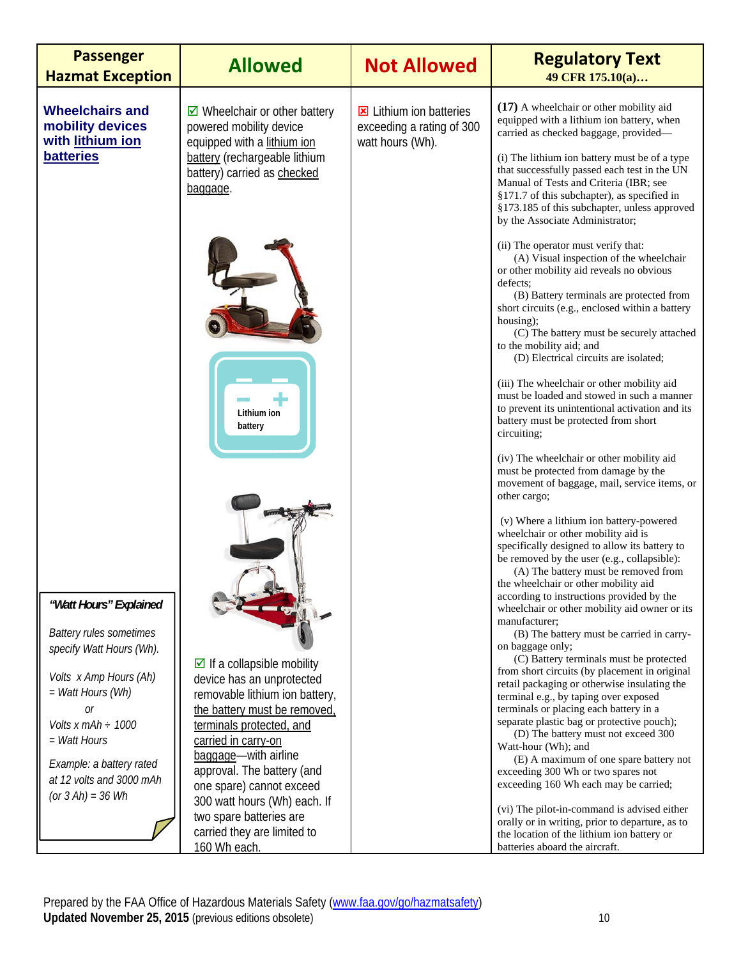| <b>Passenger</b><br><b>Hazmat Exception</b>                    | <b>Allowed</b>                                                                                            | <b>Not Allowed</b>                                                              | <b>Regulatory Text</b><br>49 CFR 175.10(a)                                                                                                                                                                                                                                                                                                                           |
|----------------------------------------------------------------|-----------------------------------------------------------------------------------------------------------|---------------------------------------------------------------------------------|----------------------------------------------------------------------------------------------------------------------------------------------------------------------------------------------------------------------------------------------------------------------------------------------------------------------------------------------------------------------|
| <b>Wheelchairs and</b><br>mobility devices<br>with lithium ion | $\boxtimes$ Wheelchair or other battery<br>powered mobility device<br>equipped with a lithium ion         | <b>E</b> Lithium ion batteries<br>exceeding a rating of 300<br>watt hours (Wh). | $(17)$ A wheelchair or other mobility aid<br>equipped with a lithium ion battery, when<br>carried as checked baggage, provided-                                                                                                                                                                                                                                      |
| <b>batteries</b>                                               | battery (rechargeable lithium<br>battery) carried as checked<br>baggage.                                  |                                                                                 | (i) The lithium ion battery must be of a type<br>that successfully passed each test in the UN<br>Manual of Tests and Criteria (IBR; see<br>§171.7 of this subchapter), as specified in<br>§173.185 of this subchapter, unless approved<br>by the Associate Administrator;                                                                                            |
|                                                                |                                                                                                           |                                                                                 | (ii) The operator must verify that:<br>(A) Visual inspection of the wheelchair<br>or other mobility aid reveals no obvious<br>defects:<br>(B) Battery terminals are protected from<br>short circuits (e.g., enclosed within a battery<br>housing);<br>(C) The battery must be securely attached<br>to the mobility aid; and<br>(D) Electrical circuits are isolated; |
|                                                                | Lithium ion<br>battery                                                                                    |                                                                                 | (iii) The wheelchair or other mobility aid<br>must be loaded and stowed in such a manner<br>to prevent its unintentional activation and its<br>battery must be protected from short<br>circuiting;                                                                                                                                                                   |
|                                                                |                                                                                                           |                                                                                 | (iv) The wheelchair or other mobility aid<br>must be protected from damage by the<br>movement of baggage, mail, service items, or<br>other cargo;                                                                                                                                                                                                                    |
|                                                                |                                                                                                           |                                                                                 | (v) Where a lithium ion battery-powered<br>wheelchair or other mobility aid is<br>specifically designed to allow its battery to<br>be removed by the user (e.g., collapsible):<br>(A) The battery must be removed from<br>the wheelchair or other mobility aid                                                                                                       |
| "Watt Hours" Explained                                         |                                                                                                           |                                                                                 | according to instructions provided by the<br>wheelchair or other mobility aid owner or its<br>manufacturer;                                                                                                                                                                                                                                                          |
| <b>Battery rules sometimes</b><br>specify Watt Hours (Wh).     |                                                                                                           |                                                                                 | (B) The battery must be carried in carry-<br>on baggage only;<br>(C) Battery terminals must be protected                                                                                                                                                                                                                                                             |
| Volts x Amp Hours (Ah)<br>= Watt Hours (Wh)                    | $\triangleright$ If a collapsible mobility<br>device has an unprotected<br>removable lithium ion battery, |                                                                                 | from short circuits (by placement in original<br>retail packaging or otherwise insulating the<br>terminal e.g., by taping over exposed                                                                                                                                                                                                                               |
| 0r<br>Volts x mAh $\div$ 1000                                  | the battery must be removed,<br>terminals protected, and                                                  |                                                                                 | terminals or placing each battery in a<br>separate plastic bag or protective pouch);<br>(D) The battery must not exceed 300                                                                                                                                                                                                                                          |
| $=$ <i>Watt Hours</i><br>Example: a battery rated              | carried in carry-on<br>baggage-with airline                                                               |                                                                                 | Watt-hour (Wh); and<br>(E) A maximum of one spare battery not                                                                                                                                                                                                                                                                                                        |
| at 12 volts and 3000 mAh<br>(or $3 Ah$ ) = $36 Wh$             | approval. The battery (and<br>one spare) cannot exceed                                                    |                                                                                 | exceeding 300 Wh or two spares not<br>exceeding 160 Wh each may be carried;                                                                                                                                                                                                                                                                                          |
|                                                                | 300 watt hours (Wh) each. If<br>two spare batteries are                                                   |                                                                                 | (vi) The pilot-in-command is advised either<br>orally or in writing, prior to departure, as to                                                                                                                                                                                                                                                                       |
|                                                                | carried they are limited to<br>160 Wh each.                                                               |                                                                                 | the location of the lithium ion battery or<br>batteries aboard the aircraft.                                                                                                                                                                                                                                                                                         |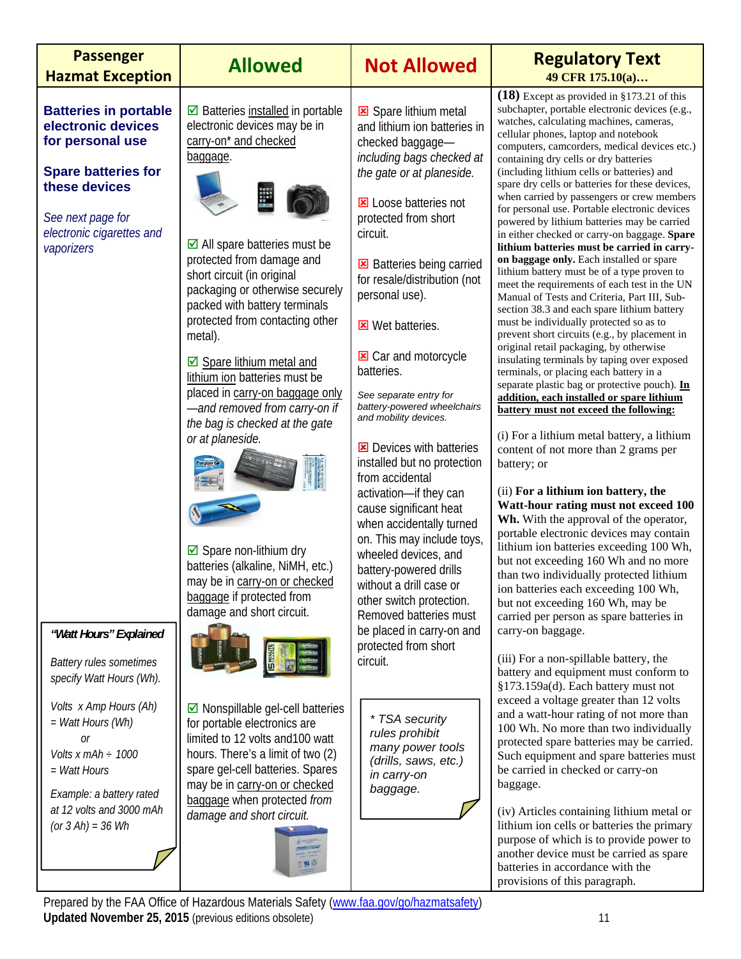| <b>Passenger</b><br><b>Hazmat Exception</b>                                                                                                                                           | <b>Allowed</b>                                                                                                                                                                                                                                                                                                                                                                                                                                                                                                                                                                                                                                                                             | <b>Not Allowed</b>                                                                                                                                                                                                                                                                                                                                                                                                                                                                                                                                                                                                                                                                                                                                      | <b>Regulatory Text</b><br>49 CFR 175.10(a)                                                                                                                                                                                                                                                                                                                                                                                                                                                                                                                                                                                                                                                                                                                                                                                                                                                                                                                                                                                                                                                                                                                                                                                                                                                                                                                                                                                                                                                                                                                                                                                                                                                                                                                                 |
|---------------------------------------------------------------------------------------------------------------------------------------------------------------------------------------|--------------------------------------------------------------------------------------------------------------------------------------------------------------------------------------------------------------------------------------------------------------------------------------------------------------------------------------------------------------------------------------------------------------------------------------------------------------------------------------------------------------------------------------------------------------------------------------------------------------------------------------------------------------------------------------------|---------------------------------------------------------------------------------------------------------------------------------------------------------------------------------------------------------------------------------------------------------------------------------------------------------------------------------------------------------------------------------------------------------------------------------------------------------------------------------------------------------------------------------------------------------------------------------------------------------------------------------------------------------------------------------------------------------------------------------------------------------|----------------------------------------------------------------------------------------------------------------------------------------------------------------------------------------------------------------------------------------------------------------------------------------------------------------------------------------------------------------------------------------------------------------------------------------------------------------------------------------------------------------------------------------------------------------------------------------------------------------------------------------------------------------------------------------------------------------------------------------------------------------------------------------------------------------------------------------------------------------------------------------------------------------------------------------------------------------------------------------------------------------------------------------------------------------------------------------------------------------------------------------------------------------------------------------------------------------------------------------------------------------------------------------------------------------------------------------------------------------------------------------------------------------------------------------------------------------------------------------------------------------------------------------------------------------------------------------------------------------------------------------------------------------------------------------------------------------------------------------------------------------------------|
| <b>Batteries in portable</b><br>electronic devices<br>for personal use<br><b>Spare batteries for</b><br>these devices<br>See next page for<br>electronic cigarettes and<br>vaporizers | ☑ Batteries installed in portable<br>electronic devices may be in<br>carry-on* and checked<br>baggage.<br>$\boxtimes$ All spare batteries must be<br>protected from damage and<br>short circuit (in original<br>packaging or otherwise securely<br>packed with battery terminals<br>protected from contacting other<br>metal).<br>☑ Spare lithium metal and<br>lithium ion batteries must be<br>placed in carry-on baggage only<br>-and removed from carry-on if<br>the bag is checked at the gate<br>or at planeside.<br>$\boxtimes$ Spare non-lithium dry<br>batteries (alkaline, NiMH, etc.)<br>may be in carry-on or checked<br>baggage if protected from<br>damage and short circuit. | Spare lithium metal<br>and lithium ion batteries in<br>checked baggage-<br>including bags checked at<br>the gate or at planeside.<br>Loose batteries not<br>protected from short<br>circuit.<br>Batteries being carried<br>for resale/distribution (not<br>personal use).<br><b>E</b> Wet batteries.<br>Car and motorcycle<br>batteries.<br>See separate entry for<br>battery-powered wheelchairs<br>and mobility devices.<br>Devices with batteries<br>installed but no protection<br>from accidental<br>activation-if they can<br>cause significant heat<br>when accidentally turned<br>on. This may include toys,<br>wheeled devices, and<br>battery-powered drills<br>without a drill case or<br>other switch protection.<br>Removed batteries must | $(18)$ Except as provided in §173.21 of this<br>subchapter, portable electronic devices (e.g.,<br>watches, calculating machines, cameras,<br>cellular phones, laptop and notebook<br>computers, camcorders, medical devices etc.)<br>containing dry cells or dry batteries<br>(including lithium cells or batteries) and<br>spare dry cells or batteries for these devices,<br>when carried by passengers or crew members<br>for personal use. Portable electronic devices<br>powered by lithium batteries may be carried<br>in either checked or carry-on baggage. Spare<br>lithium batteries must be carried in carry-<br>on baggage only. Each installed or spare<br>lithium battery must be of a type proven to<br>meet the requirements of each test in the UN<br>Manual of Tests and Criteria, Part III, Sub-<br>section 38.3 and each spare lithium battery<br>must be individually protected so as to<br>prevent short circuits (e.g., by placement in<br>original retail packaging, by otherwise<br>insulating terminals by taping over exposed<br>terminals, or placing each battery in a<br>separate plastic bag or protective pouch). In<br>addition, each installed or spare lithium<br>battery must not exceed the following:<br>(i) For a lithium metal battery, a lithium<br>content of not more than 2 grams per<br>battery; or<br>(ii) For a lithium ion battery, the<br>Watt-hour rating must not exceed 100<br>Wh. With the approval of the operator,<br>portable electronic devices may contain<br>lithium ion batteries exceeding 100 Wh,<br>but not exceeding 160 Wh and no more<br>than two individually protected lithium<br>ion batteries each exceeding 100 Wh,<br>but not exceeding 160 Wh, may be<br>carried per person as spare batteries in |
| "Watt Hours" Explained<br><b>Battery rules sometimes</b><br>specify Watt Hours (Wh).                                                                                                  |                                                                                                                                                                                                                                                                                                                                                                                                                                                                                                                                                                                                                                                                                            | be placed in carry-on and<br>protected from short<br>circuit.                                                                                                                                                                                                                                                                                                                                                                                                                                                                                                                                                                                                                                                                                           | carry-on baggage.<br>(iii) For a non-spillable battery, the<br>battery and equipment must conform to<br>§173.159a(d). Each battery must not                                                                                                                                                                                                                                                                                                                                                                                                                                                                                                                                                                                                                                                                                                                                                                                                                                                                                                                                                                                                                                                                                                                                                                                                                                                                                                                                                                                                                                                                                                                                                                                                                                |
| Volts x Amp Hours (Ah)<br>= Watt Hours (Wh)<br>Оr<br>Volts $x$ mAh $\div$ 1000<br>= Watt Hours<br>Example: a battery rated<br>at 12 volts and 3000 mAh<br>(or $3 Ah$ ) = $36 Wh$      | $\boxtimes$ Nonspillable gel-cell batteries<br>for portable electronics are<br>limited to 12 volts and 100 watt<br>hours. There's a limit of two (2)<br>spare gel-cell batteries. Spares<br>may be in carry-on or checked<br>baggage when protected from<br>damage and short circuit.                                                                                                                                                                                                                                                                                                                                                                                                      | * TSA security<br>rules prohibit<br>many power tools<br>(drills, saws, etc.)<br>in carry-on<br>baggage.                                                                                                                                                                                                                                                                                                                                                                                                                                                                                                                                                                                                                                                 | exceed a voltage greater than 12 volts<br>and a watt-hour rating of not more than<br>100 Wh. No more than two individually<br>protected spare batteries may be carried.<br>Such equipment and spare batteries must<br>be carried in checked or carry-on<br>baggage.<br>(iv) Articles containing lithium metal or<br>lithium ion cells or batteries the primary<br>purpose of which is to provide power to<br>another device must be carried as spare<br>batteries in accordance with the<br>provisions of this paragraph.                                                                                                                                                                                                                                                                                                                                                                                                                                                                                                                                                                                                                                                                                                                                                                                                                                                                                                                                                                                                                                                                                                                                                                                                                                                  |

Prepared by the FAA Office of Hazardous Materials Safety (www.faa.gov/go/hazmatsafety) **Updated November 25, 2015** (previous editions obsolete) 11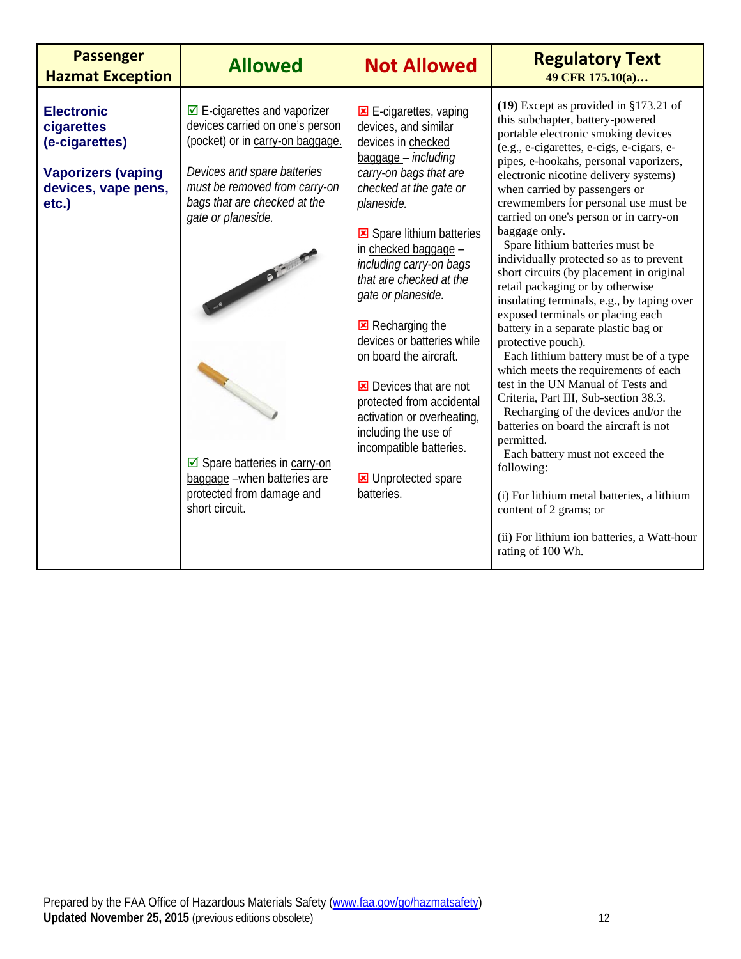| <b>Passenger</b><br><b>Hazmat Exception</b>                                                                    | <b>Allowed</b>                                                                                                                                                                                                                                                                                                                                                        | <b>Not Allowed</b>                                                                                                                                                                                                                                                                                                                                                                                                                                                                                                                                        | <b>Regulatory Text</b><br>49 CFR 175.10(a)                                                                                                                                                                                                                                                                                                                                                                                                                                                                                                                                                                                                                                                                                                                                                                                                                                                                                                                                                                                                                                                                                                                           |
|----------------------------------------------------------------------------------------------------------------|-----------------------------------------------------------------------------------------------------------------------------------------------------------------------------------------------------------------------------------------------------------------------------------------------------------------------------------------------------------------------|-----------------------------------------------------------------------------------------------------------------------------------------------------------------------------------------------------------------------------------------------------------------------------------------------------------------------------------------------------------------------------------------------------------------------------------------------------------------------------------------------------------------------------------------------------------|----------------------------------------------------------------------------------------------------------------------------------------------------------------------------------------------------------------------------------------------------------------------------------------------------------------------------------------------------------------------------------------------------------------------------------------------------------------------------------------------------------------------------------------------------------------------------------------------------------------------------------------------------------------------------------------------------------------------------------------------------------------------------------------------------------------------------------------------------------------------------------------------------------------------------------------------------------------------------------------------------------------------------------------------------------------------------------------------------------------------------------------------------------------------|
| <b>Electronic</b><br>cigarettes<br>(e-cigarettes)<br><b>Vaporizers (vaping</b><br>devices, vape pens,<br>etc.) | $\triangleright$ E-cigarettes and vaporizer<br>devices carried on one's person<br>(pocket) or in carry-on baggage.<br>Devices and spare batteries<br>must be removed from carry-on<br>bags that are checked at the<br>gate or planeside.<br>CONTRACTOR<br>☑ Spare batteries in carry-on<br>baggage -when batteries are<br>protected from damage and<br>short circuit. | $E$ -cigarettes, vaping<br>devices, and similar<br>devices in checked<br>baggage - including<br>carry-on bags that are<br>checked at the gate or<br>planeside.<br>Spare lithium batteries<br>in checked baggage -<br>including carry-on bags<br>that are checked at the<br>gate or planeside.<br>Recharging the<br>devices or batteries while<br>on board the aircraft.<br>Devices that are not<br>protected from accidental<br>activation or overheating,<br>including the use of<br>incompatible batteries.<br><b>E</b> Unprotected spare<br>batteries. | $(19)$ Except as provided in §173.21 of<br>this subchapter, battery-powered<br>portable electronic smoking devices<br>(e.g., e-cigarettes, e-cigs, e-cigars, e-<br>pipes, e-hookahs, personal vaporizers,<br>electronic nicotine delivery systems)<br>when carried by passengers or<br>crewmembers for personal use must be<br>carried on one's person or in carry-on<br>baggage only.<br>Spare lithium batteries must be<br>individually protected so as to prevent<br>short circuits (by placement in original<br>retail packaging or by otherwise<br>insulating terminals, e.g., by taping over<br>exposed terminals or placing each<br>battery in a separate plastic bag or<br>protective pouch).<br>Each lithium battery must be of a type<br>which meets the requirements of each<br>test in the UN Manual of Tests and<br>Criteria, Part III, Sub-section 38.3.<br>Recharging of the devices and/or the<br>batteries on board the aircraft is not<br>permitted.<br>Each battery must not exceed the<br>following:<br>(i) For lithium metal batteries, a lithium<br>content of 2 grams; or<br>(ii) For lithium ion batteries, a Watt-hour<br>rating of 100 Wh. |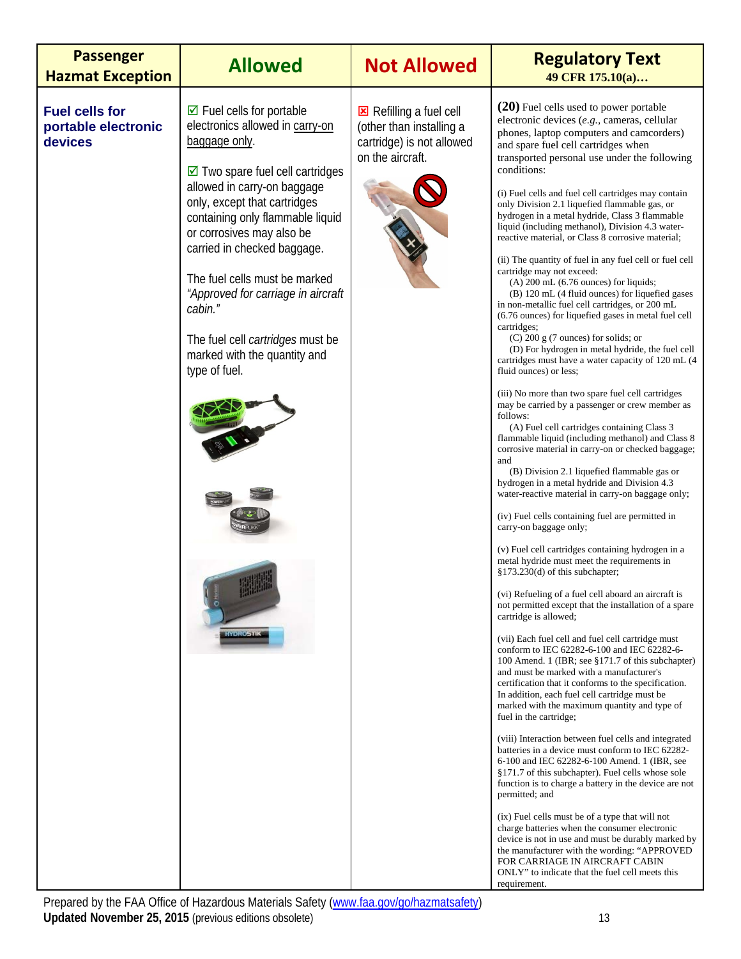| <b>Passenger</b><br><b>Hazmat Exception</b>             | <b>Allowed</b>                                                                                                                                                                                                                                                                                                                                                                                                                                                                                                            | <b>Not Allowed</b>                                                                                 | <b>Regulatory Text</b><br>49 CFR 175.10(a)                                                                                                                                                                                                                                                                                                                                                                                                                                                                                                                                                                                                                                                                                                                                                                                                                                                                                                                                                                                                                                                                                                                                                                                                                                                                                                                                                                                                                                                                                                                                                                                                                                                                                                                                                                                                                                                                                                                                                                                                                                                                                                                                                                                                                                                                                                                                                                                                                                                                                                                                                                                                                                                                                                                                                                           |
|---------------------------------------------------------|---------------------------------------------------------------------------------------------------------------------------------------------------------------------------------------------------------------------------------------------------------------------------------------------------------------------------------------------------------------------------------------------------------------------------------------------------------------------------------------------------------------------------|----------------------------------------------------------------------------------------------------|----------------------------------------------------------------------------------------------------------------------------------------------------------------------------------------------------------------------------------------------------------------------------------------------------------------------------------------------------------------------------------------------------------------------------------------------------------------------------------------------------------------------------------------------------------------------------------------------------------------------------------------------------------------------------------------------------------------------------------------------------------------------------------------------------------------------------------------------------------------------------------------------------------------------------------------------------------------------------------------------------------------------------------------------------------------------------------------------------------------------------------------------------------------------------------------------------------------------------------------------------------------------------------------------------------------------------------------------------------------------------------------------------------------------------------------------------------------------------------------------------------------------------------------------------------------------------------------------------------------------------------------------------------------------------------------------------------------------------------------------------------------------------------------------------------------------------------------------------------------------------------------------------------------------------------------------------------------------------------------------------------------------------------------------------------------------------------------------------------------------------------------------------------------------------------------------------------------------------------------------------------------------------------------------------------------------------------------------------------------------------------------------------------------------------------------------------------------------------------------------------------------------------------------------------------------------------------------------------------------------------------------------------------------------------------------------------------------------------------------------------------------------------------------------------------------------|
| <b>Fuel cells for</b><br>portable electronic<br>devices | $\boxtimes$ Fuel cells for portable<br>electronics allowed in carry-on<br>baggage only.<br>$\boxtimes$ Two spare fuel cell cartridges<br>allowed in carry-on baggage<br>only, except that cartridges<br>containing only flammable liquid<br>or corrosives may also be<br>carried in checked baggage.<br>The fuel cells must be marked<br>"Approved for carriage in aircraft<br>cabin."<br>The fuel cell <i>cartridges</i> must be<br>marked with the quantity and<br>type of fuel.<br><b>REGISTER</b><br><b>HYDROSTIK</b> | Refilling a fuel cell<br>(other than installing a<br>cartridge) is not allowed<br>on the aircraft. | (20) Fuel cells used to power portable<br>electronic devices (e.g., cameras, cellular<br>phones, laptop computers and camcorders)<br>and spare fuel cell cartridges when<br>transported personal use under the following<br>conditions:<br>(i) Fuel cells and fuel cell cartridges may contain<br>only Division 2.1 liquefied flammable gas, or<br>hydrogen in a metal hydride, Class 3 flammable<br>liquid (including methanol), Division 4.3 water-<br>reactive material, or Class 8 corrosive material;<br>(ii) The quantity of fuel in any fuel cell or fuel cell<br>cartridge may not exceed:<br>$(A)$ 200 mL $(6.76$ ounces) for liquids;<br>(B) 120 mL (4 fluid ounces) for liquefied gases<br>in non-metallic fuel cell cartridges, or 200 mL<br>(6.76 ounces) for liquefied gases in metal fuel cell<br>cartridges;<br>$(C)$ 200 g (7 ounces) for solids; or<br>(D) For hydrogen in metal hydride, the fuel cell<br>cartridges must have a water capacity of 120 mL (4)<br>fluid ounces) or less;<br>(iii) No more than two spare fuel cell cartridges<br>may be carried by a passenger or crew member as<br>follows:<br>(A) Fuel cell cartridges containing Class 3<br>flammable liquid (including methanol) and Class 8<br>corrosive material in carry-on or checked baggage;<br>and<br>(B) Division 2.1 liquefied flammable gas or<br>hydrogen in a metal hydride and Division 4.3<br>water-reactive material in carry-on baggage only;<br>(iv) Fuel cells containing fuel are permitted in<br>carry-on baggage only;<br>(v) Fuel cell cartridges containing hydrogen in a<br>metal hydride must meet the requirements in<br>§173.230(d) of this subchapter;<br>(vi) Refueling of a fuel cell aboard an aircraft is<br>not permitted except that the installation of a spare<br>cartridge is allowed;<br>(vii) Each fuel cell and fuel cell cartridge must<br>conform to IEC 62282-6-100 and IEC 62282-6-<br>100 Amend. 1 (IBR; see §171.7 of this subchapter)<br>and must be marked with a manufacturer's<br>certification that it conforms to the specification.<br>In addition, each fuel cell cartridge must be<br>marked with the maximum quantity and type of<br>fuel in the cartridge;<br>(viii) Interaction between fuel cells and integrated<br>batteries in a device must conform to IEC 62282-<br>6-100 and IEC 62282-6-100 Amend. 1 (IBR, see<br>§171.7 of this subchapter). Fuel cells whose sole<br>function is to charge a battery in the device are not<br>permitted; and<br>(ix) Fuel cells must be of a type that will not<br>charge batteries when the consumer electronic<br>device is not in use and must be durably marked by<br>the manufacturer with the wording: "APPROVED<br>FOR CARRIAGE IN AIRCRAFT CABIN<br>ONLY" to indicate that the fuel cell meets this<br>requirement. |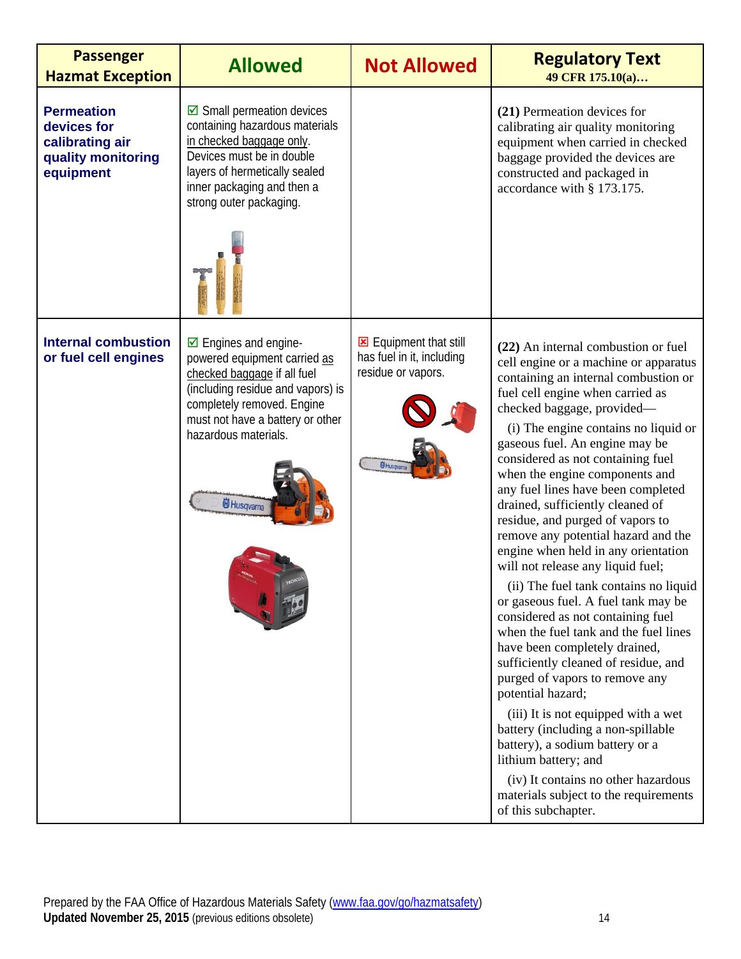| <b>Passenger</b><br><b>Hazmat Exception</b>                                            | <b>Allowed</b>                                                                                                                                                                                                                                      | <b>Not Allowed</b>                                                                            | <b>Regulatory Text</b><br>49 CFR 175.10(a)                                                                                                                                                                                                                                                                                                                                                                                                                                                                                                                                                                                                                                                                                                                                                                                                                                                                                                                                                                                                                                                                            |
|----------------------------------------------------------------------------------------|-----------------------------------------------------------------------------------------------------------------------------------------------------------------------------------------------------------------------------------------------------|-----------------------------------------------------------------------------------------------|-----------------------------------------------------------------------------------------------------------------------------------------------------------------------------------------------------------------------------------------------------------------------------------------------------------------------------------------------------------------------------------------------------------------------------------------------------------------------------------------------------------------------------------------------------------------------------------------------------------------------------------------------------------------------------------------------------------------------------------------------------------------------------------------------------------------------------------------------------------------------------------------------------------------------------------------------------------------------------------------------------------------------------------------------------------------------------------------------------------------------|
| <b>Permeation</b><br>devices for<br>calibrating air<br>quality monitoring<br>equipment | $\boxdot$ Small permeation devices<br>containing hazardous materials<br>in checked baggage only.<br>Devices must be in double<br>layers of hermetically sealed<br>inner packaging and then a<br>strong outer packaging.                             |                                                                                               | (21) Permeation devices for<br>calibrating air quality monitoring<br>equipment when carried in checked<br>baggage provided the devices are<br>constructed and packaged in<br>accordance with § 173.175.                                                                                                                                                                                                                                                                                                                                                                                                                                                                                                                                                                                                                                                                                                                                                                                                                                                                                                               |
| <b>Internal combustion</b><br>or fuel cell engines                                     | $\boxtimes$ Engines and engine-<br>powered equipment carried as<br>checked baggage if all fuel<br>(including residue and vapors) is<br>completely removed. Engine<br>must not have a battery or other<br>hazardous materials.<br><b>尚</b> Husqvarna | Equipment that still<br>has fuel in it, including<br>residue or vapors.<br><b>id</b> Husqvama | (22) An internal combustion or fuel<br>cell engine or a machine or apparatus<br>containing an internal combustion or<br>fuel cell engine when carried as<br>checked baggage, provided—<br>(i) The engine contains no liquid or<br>gaseous fuel. An engine may be<br>considered as not containing fuel<br>when the engine components and<br>any fuel lines have been completed<br>drained, sufficiently cleaned of<br>residue, and purged of vapors to<br>remove any potential hazard and the<br>engine when held in any orientation<br>will not release any liquid fuel;<br>(ii) The fuel tank contains no liquid<br>or gaseous fuel. A fuel tank may be<br>considered as not containing fuel<br>when the fuel tank and the fuel lines<br>have been completely drained,<br>sufficiently cleaned of residue, and<br>purged of vapors to remove any<br>potential hazard;<br>(iii) It is not equipped with a wet<br>battery (including a non-spillable<br>battery), a sodium battery or a<br>lithium battery; and<br>(iv) It contains no other hazardous<br>materials subject to the requirements<br>of this subchapter. |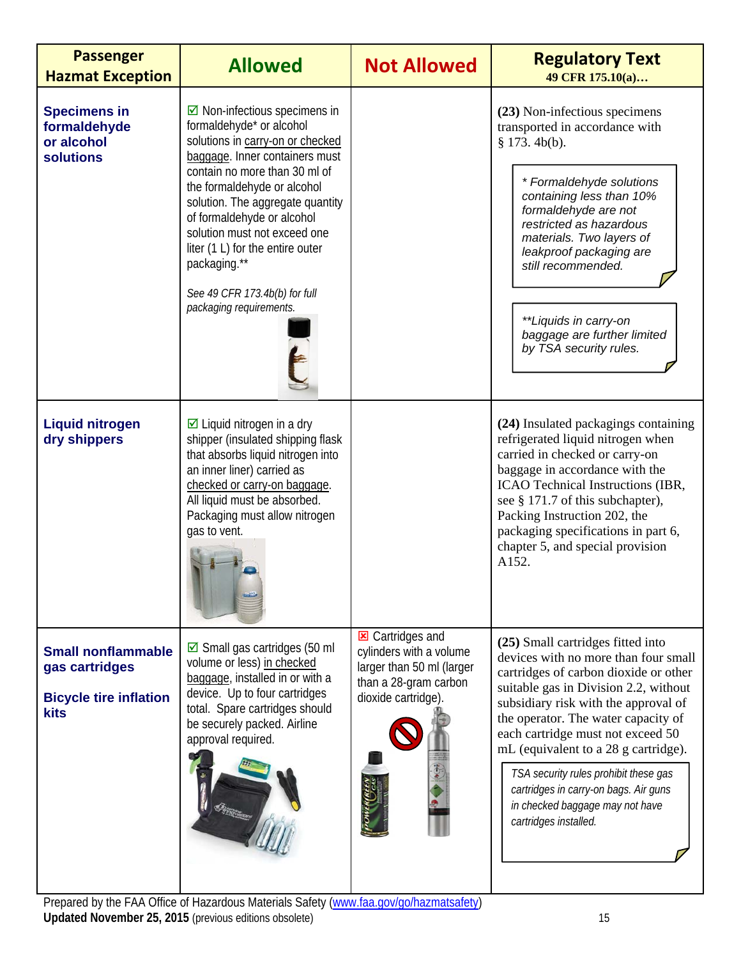| <b>Passenger</b><br><b>Hazmat Exception</b>                                                 | <b>Allowed</b>                                                                                                                                                                                                                                                                                                                                                                                                            | <b>Not Allowed</b>                                                                                                              | <b>Regulatory Text</b><br>49 CFR 175.10(a)                                                                                                                                                                                                                                                                                                                                                                                                                            |
|---------------------------------------------------------------------------------------------|---------------------------------------------------------------------------------------------------------------------------------------------------------------------------------------------------------------------------------------------------------------------------------------------------------------------------------------------------------------------------------------------------------------------------|---------------------------------------------------------------------------------------------------------------------------------|-----------------------------------------------------------------------------------------------------------------------------------------------------------------------------------------------------------------------------------------------------------------------------------------------------------------------------------------------------------------------------------------------------------------------------------------------------------------------|
| <b>Specimens in</b><br>formaldehyde<br>or alcohol<br><b>solutions</b>                       | $\boxdot$ Non-infectious specimens in<br>formaldehyde* or alcohol<br>solutions in carry-on or checked<br>baggage. Inner containers must<br>contain no more than 30 ml of<br>the formaldehyde or alcohol<br>solution. The aggregate quantity<br>of formaldehyde or alcohol<br>solution must not exceed one<br>liter (1 L) for the entire outer<br>packaging.**<br>See 49 CFR 173.4b(b) for full<br>packaging requirements. |                                                                                                                                 | (23) Non-infectious specimens<br>transported in accordance with<br>$§$ 173. 4b(b).<br>* Formaldehyde solutions<br>containing less than 10%<br>formaldehyde are not<br>restricted as hazardous<br>materials. Two layers of<br>leakproof packaging are<br>still recommended.<br>**Liquids in carry-on<br>baggage are further limited<br>by TSA security rules.                                                                                                          |
| <b>Liquid nitrogen</b><br>dry shippers                                                      | $\boxtimes$ Liquid nitrogen in a dry<br>shipper (insulated shipping flask<br>that absorbs liquid nitrogen into<br>an inner liner) carried as<br>checked or carry-on baggage.<br>All liquid must be absorbed.<br>Packaging must allow nitrogen<br>gas to vent.                                                                                                                                                             |                                                                                                                                 | (24) Insulated packagings containing<br>refrigerated liquid nitrogen when<br>carried in checked or carry-on<br>baggage in accordance with the<br>ICAO Technical Instructions (IBR,<br>see § 171.7 of this subchapter),<br>Packing Instruction 202, the<br>packaging specifications in part 6,<br>chapter 5, and special provision<br>A152.                                                                                                                            |
| <b>Small nonflammable</b><br>gas cartridges<br><b>Bicycle tire inflation</b><br><b>kits</b> | $\boxtimes$ Small gas cartridges (50 ml<br>volume or less) in checked<br>baggage, installed in or with a<br>device. Up to four cartridges<br>total. Spare cartridges should<br>be securely packed. Airline<br>approval required.                                                                                                                                                                                          | <b>E</b> Cartridges and<br>cylinders with a volume<br>larger than 50 ml (larger<br>than a 28-gram carbon<br>dioxide cartridge). | (25) Small cartridges fitted into<br>devices with no more than four small<br>cartridges of carbon dioxide or other<br>suitable gas in Division 2.2, without<br>subsidiary risk with the approval of<br>the operator. The water capacity of<br>each cartridge must not exceed 50<br>mL (equivalent to a 28 g cartridge).<br>TSA security rules prohibit these gas<br>cartridges in carry-on bags. Air guns<br>in checked baggage may not have<br>cartridges installed. |